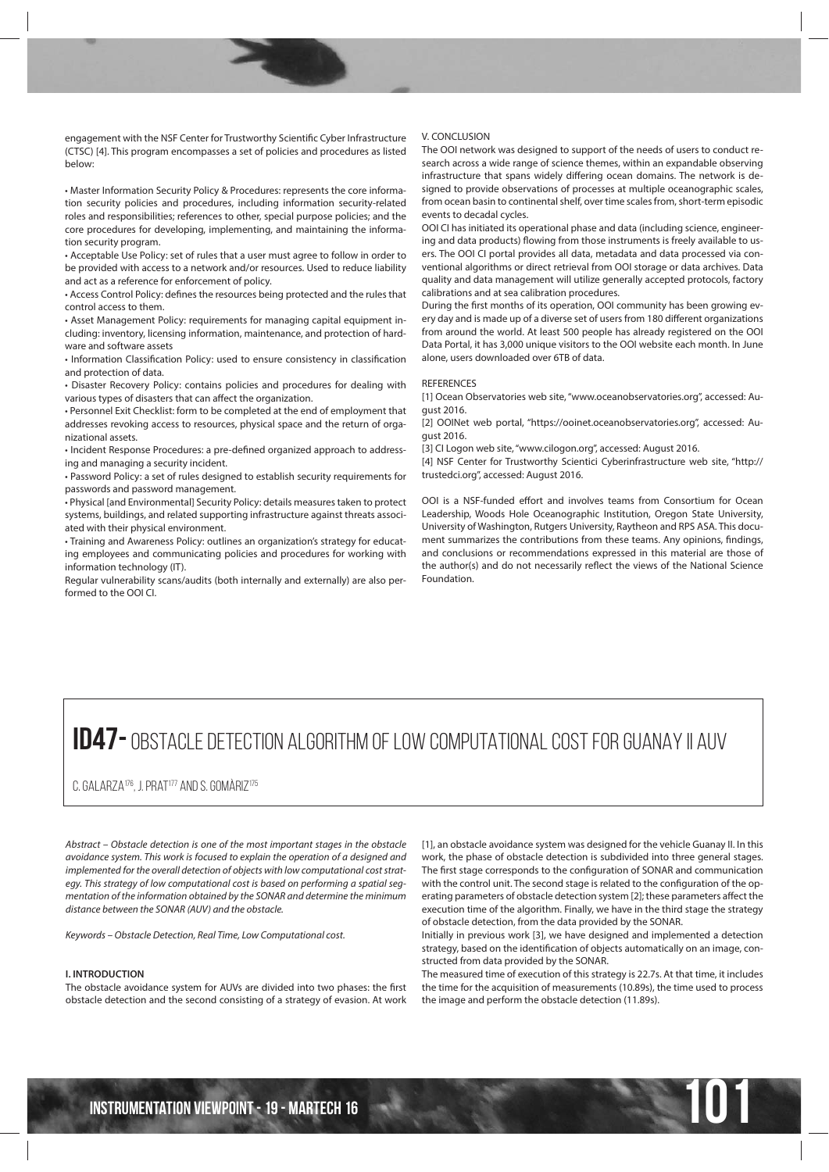engagement with the NSF Center for Trustworthy Scientific Cyber Infrastructure (CTSC) [4]. This program encompasses a set of policies and procedures as listed below:

• Master Information Security Policy & Procedures: represents the core information security policies and procedures, including information security-related roles and responsibilities; references to other, special purpose policies; and the core procedures for developing, implementing, and maintaining the information security program.

• Acceptable Use Policy: set of rules that a user must agree to follow in order to be provided with access to a network and/or resources. Used to reduce liability and act as a reference for enforcement of policy.

• Access Control Policy: defines the resources being protected and the rules that control access to them.

• Asset Management Policy: requirements for managing capital equipment including: inventory, licensing information, maintenance, and protection of hardware and software assets

• Information Classification Policy: used to ensure consistency in classification and protection of data.

• Disaster Recovery Policy: contains policies and procedures for dealing with various types of disasters that can affect the organization.

• Personnel Exit Checklist: form to be completed at the end of employment that addresses revoking access to resources, physical space and the return of organizational assets.

• Incident Response Procedures: a pre-defined organized approach to addressing and managing a security incident.

• Password Policy: a set of rules designed to establish security requirements for passwords and password management.

• Physical [and Environmental] Security Policy: details measures taken to protect systems, buildings, and related supporting infrastructure against threats associated with their physical environment.

• Training and Awareness Policy: outlines an organization's strategy for educating employees and communicating policies and procedures for working with information technology (IT).

Regular vulnerability scans/audits (both internally and externally) are also performed to the OOI CI.

#### V. CONCLUSION

The OOI network was designed to support of the needs of users to conduct research across a wide range of science themes, within an expandable observing infrastructure that spans widely differing ocean domains. The network is designed to provide observations of processes at multiple oceanographic scales, from ocean basin to continental shelf, over time scales from, short-term episodic events to decadal cycles.

OOI CI has initiated its operational phase and data (including science, engineering and data products) flowing from those instruments is freely available to users. The OOI CI portal provides all data, metadata and data processed via conventional algorithms or direct retrieval from OOI storage or data archives. Data quality and data management will utilize generally accepted protocols, factory calibrations and at sea calibration procedures.

During the first months of its operation, OOI community has been growing every day and is made up of a diverse set of users from 180 different organizations from around the world. At least 500 people has already registered on the OOI Data Portal, it has 3,000 unique visitors to the OOI website each month. In June alone, users downloaded over 6TB of data.

# REFERENCES

[1] Ocean Observatories web site, "www.oceanobservatories.org", accessed: August 2016.

[2] OOINet web portal, "https://ooinet.oceanobservatories.org", accessed: August 2016.

[3] CI Logon web site, "www.cilogon.org", accessed: August 2016.

[4] NSF Center for Trustworthy Scientici Cyberinfrastructure web site, "http:// trustedci.org", accessed: August 2016.

OOI is a NSF-funded effort and involves teams from Consortium for Ocean Leadership, Woods Hole Oceanographic Institution, Oregon State University, University of Washington, Rutgers University, Raytheon and RPS ASA. This document summarizes the contributions from these teams. Any opinions, findings, and conclusions or recommendations expressed in this material are those of the author(s) and do not necessarily reflect the views of the National Science Foundation.

# **ID47-** OBSTACLE DETECTION ALGORITHM OF LOW COMPUTATIONAL COST FOR GUANAY II AUV

C. GALARZA<sup>176</sup>, J. PRAT<sup>177</sup> AND S. GOMÀRIZ<sup>175</sup>

Abstract – Obstacle detection is one of the most important stages in the obstacle avoidance system. This work is focused to explain the operation of a designed and implemented for the overall detection of objects with low computational cost strategy. This strategy of low computational cost is based on performing a spatial segmentation of the information obtained by the SONAR and determine the minimum distance between the SONAR (AUV) and the obstacle.

Keywords – Obstacle Detection, Real Time, Low Computational cost.

# **I. INTRODUCTION**

The obstacle avoidance system for AUVs are divided into two phases: the first obstacle detection and the second consisting of a strategy of evasion. At work

[1], an obstacle avoidance system was designed for the vehicle Guanay II. In this work, the phase of obstacle detection is subdivided into three general stages. The first stage corresponds to the configuration of SONAR and communication with the control unit. The second stage is related to the configuration of the operating parameters of obstacle detection system [2]; these parameters affect the execution time of the algorithm. Finally, we have in the third stage the strategy of obstacle detection, from the data provided by the SONAR.

Initially in previous work [3], we have designed and implemented a detection strategy, based on the identification of objects automatically on an image, constructed from data provided by the SONAR.

The measured time of execution of this strategy is 22.7s. At that time, it includes the time for the acquisition of measurements (10.89s), the time used to process the image and perform the obstacle detection (11.89s).